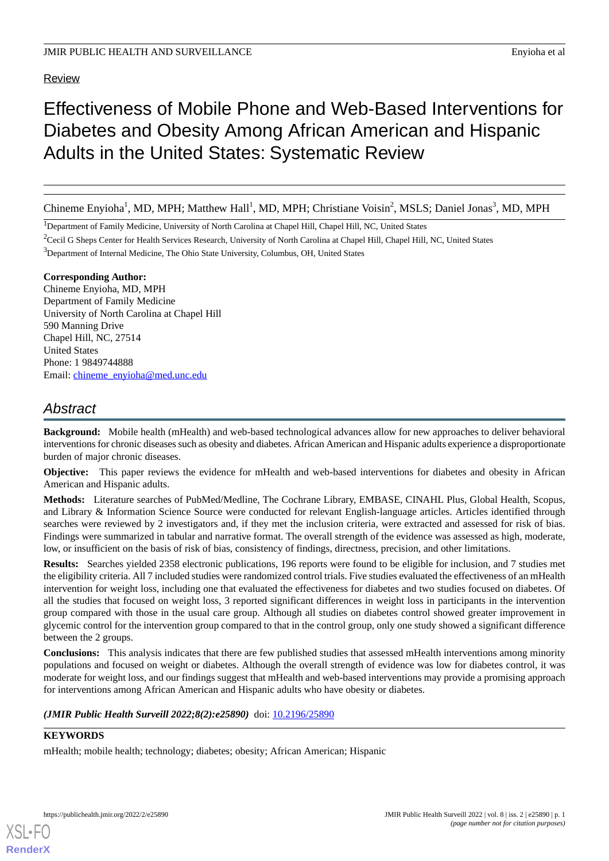# Review

# Effectiveness of Mobile Phone and Web-Based Interventions for Diabetes and Obesity Among African American and Hispanic Adults in the United States: Systematic Review

Chineme Enyioha<sup>1</sup>, MD, MPH; Matthew Hall<sup>1</sup>, MD, MPH; Christiane Voisin<sup>2</sup>, MSLS; Daniel Jonas<sup>3</sup>, MD, MPH

<sup>1</sup>Department of Family Medicine, University of North Carolina at Chapel Hill, Chapel Hill, NC, United States

<sup>2</sup>Cecil G Sheps Center for Health Services Research, University of North Carolina at Chapel Hill, Chapel Hill, NC, United States

<sup>3</sup>Department of Internal Medicine, The Ohio State University, Columbus, OH, United States

# **Corresponding Author:**

Chineme Enyioha, MD, MPH Department of Family Medicine University of North Carolina at Chapel Hill 590 Manning Drive Chapel Hill, NC, 27514 United States Phone: 1 9849744888 Email: [chineme\\_enyioha@med.unc.edu](mailto:chineme_enyioha@med.unc.edu)

# *Abstract*

**Background:** Mobile health (mHealth) and web-based technological advances allow for new approaches to deliver behavioral interventions for chronic diseases such as obesity and diabetes. African American and Hispanic adults experience a disproportionate burden of major chronic diseases.

**Objective:** This paper reviews the evidence for mHealth and web-based interventions for diabetes and obesity in African American and Hispanic adults.

**Methods:** Literature searches of PubMed/Medline, The Cochrane Library, EMBASE, CINAHL Plus, Global Health, Scopus, and Library & Information Science Source were conducted for relevant English-language articles. Articles identified through searches were reviewed by 2 investigators and, if they met the inclusion criteria, were extracted and assessed for risk of bias. Findings were summarized in tabular and narrative format. The overall strength of the evidence was assessed as high, moderate, low, or insufficient on the basis of risk of bias, consistency of findings, directness, precision, and other limitations.

**Results:** Searches yielded 2358 electronic publications, 196 reports were found to be eligible for inclusion, and 7 studies met the eligibility criteria. All 7 included studies were randomized control trials. Five studies evaluated the effectiveness of an mHealth intervention for weight loss, including one that evaluated the effectiveness for diabetes and two studies focused on diabetes. Of all the studies that focused on weight loss, 3 reported significant differences in weight loss in participants in the intervention group compared with those in the usual care group. Although all studies on diabetes control showed greater improvement in glycemic control for the intervention group compared to that in the control group, only one study showed a significant difference between the 2 groups.

**Conclusions:** This analysis indicates that there are few published studies that assessed mHealth interventions among minority populations and focused on weight or diabetes. Although the overall strength of evidence was low for diabetes control, it was moderate for weight loss, and our findings suggest that mHealth and web-based interventions may provide a promising approach for interventions among African American and Hispanic adults who have obesity or diabetes.

# *(JMIR Public Health Surveill 2022;8(2):e25890)* doi: [10.2196/25890](http://dx.doi.org/10.2196/25890)

# **KEYWORDS**

[XSL](http://www.w3.org/Style/XSL)•FO **[RenderX](http://www.renderx.com/)**

mHealth; mobile health; technology; diabetes; obesity; African American; Hispanic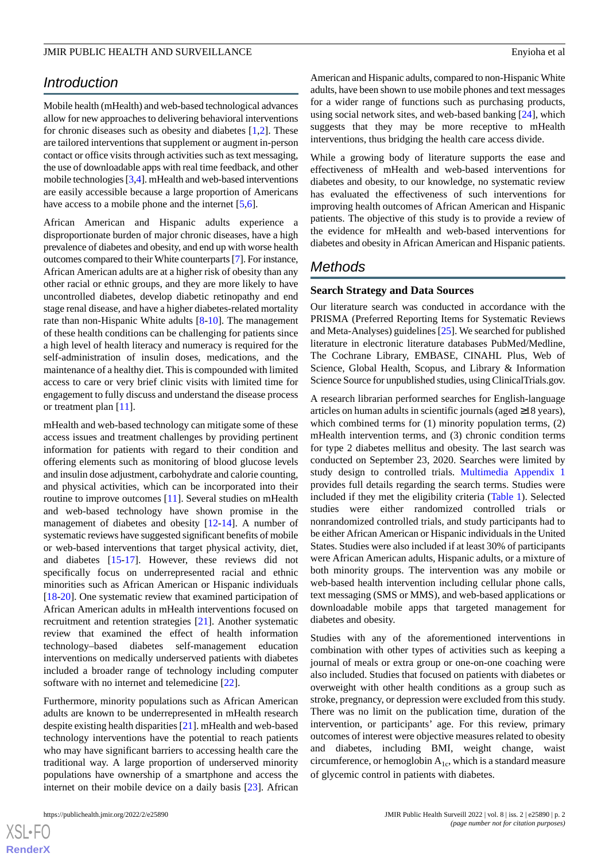# *Introduction*

Mobile health (mHealth) and web-based technological advances allow for new approaches to delivering behavioral interventions for chronic diseases such as obesity and diabetes  $[1,2]$  $[1,2]$ . These are tailored interventions that supplement or augment in-person contact or office visits through activities such as text messaging, the use of downloadable apps with real time feedback, and other mobile technologies [\[3](#page-9-2)[,4](#page-9-3)]. mHealth and web-based interventions are easily accessible because a large proportion of Americans have access to a mobile phone and the internet [\[5](#page-10-0),[6\]](#page-10-1).

African American and Hispanic adults experience a disproportionate burden of major chronic diseases, have a high prevalence of diabetes and obesity, and end up with worse health outcomes compared to their White counterparts [[7\]](#page-10-2). For instance, African American adults are at a higher risk of obesity than any other racial or ethnic groups, and they are more likely to have uncontrolled diabetes, develop diabetic retinopathy and end stage renal disease, and have a higher diabetes-related mortality rate than non-Hispanic White adults [[8](#page-10-3)[-10](#page-10-4)]. The management of these health conditions can be challenging for patients since a high level of health literacy and numeracy is required for the self-administration of insulin doses, medications, and the maintenance of a healthy diet. This is compounded with limited access to care or very brief clinic visits with limited time for engagement to fully discuss and understand the disease process or treatment plan [[11\]](#page-10-5).

mHealth and web-based technology can mitigate some of these access issues and treatment challenges by providing pertinent information for patients with regard to their condition and offering elements such as monitoring of blood glucose levels and insulin dose adjustment, carbohydrate and calorie counting, and physical activities, which can be incorporated into their routine to improve outcomes [[11\]](#page-10-5). Several studies on mHealth and web-based technology have shown promise in the management of diabetes and obesity [\[12](#page-10-6)-[14\]](#page-10-7). A number of systematic reviews have suggested significant benefits of mobile or web-based interventions that target physical activity, diet, and diabetes [[15-](#page-10-8)[17\]](#page-10-9). However, these reviews did not specifically focus on underrepresented racial and ethnic minorities such as African American or Hispanic individuals [[18](#page-10-10)[-20](#page-10-11)]. One systematic review that examined participation of African American adults in mHealth interventions focused on recruitment and retention strategies [[21\]](#page-10-12). Another systematic review that examined the effect of health information technology–based diabetes self-management education interventions on medically underserved patients with diabetes included a broader range of technology including computer software with no internet and telemedicine [\[22](#page-10-13)].

Furthermore, minority populations such as African American adults are known to be underrepresented in mHealth research despite existing health disparities [[21\]](#page-10-12). mHealth and web-based technology interventions have the potential to reach patients who may have significant barriers to accessing health care the traditional way. A large proportion of underserved minority populations have ownership of a smartphone and access the internet on their mobile device on a daily basis [\[23](#page-10-14)]. African

 $XS$ -FO **[RenderX](http://www.renderx.com/)** American and Hispanic adults, compared to non-Hispanic White adults, have been shown to use mobile phones and text messages for a wider range of functions such as purchasing products, using social network sites, and web-based banking [\[24](#page-10-15)], which suggests that they may be more receptive to mHealth interventions, thus bridging the health care access divide.

While a growing body of literature supports the ease and effectiveness of mHealth and web-based interventions for diabetes and obesity, to our knowledge, no systematic review has evaluated the effectiveness of such interventions for improving health outcomes of African American and Hispanic patients. The objective of this study is to provide a review of the evidence for mHealth and web-based interventions for diabetes and obesity in African American and Hispanic patients.

# *Methods*

# **Search Strategy and Data Sources**

Our literature search was conducted in accordance with the PRISMA (Preferred Reporting Items for Systematic Reviews and Meta-Analyses) guidelines [\[25](#page-11-0)]. We searched for published literature in electronic literature databases PubMed/Medline, The Cochrane Library, EMBASE, CINAHL Plus, Web of Science, Global Health, Scopus, and Library & Information Science Source for unpublished studies, using ClinicalTrials.gov.

A research librarian performed searches for English-language articles on human adults in scientific journals (aged ≥18 years), which combined terms for (1) minority population terms, (2) mHealth intervention terms, and (3) chronic condition terms for type 2 diabetes mellitus and obesity. The last search was conducted on September 23, 2020. Searches were limited by study design to controlled trials. [Multimedia Appendix 1](#page-9-4) provides full details regarding the search terms. Studies were included if they met the eligibility criteria [\(Table 1](#page-2-0)). Selected studies were either randomized controlled trials or nonrandomized controlled trials, and study participants had to be either African American or Hispanic individuals in the United States. Studies were also included if at least 30% of participants were African American adults, Hispanic adults, or a mixture of both minority groups. The intervention was any mobile or web-based health intervention including cellular phone calls, text messaging (SMS or MMS), and web-based applications or downloadable mobile apps that targeted management for diabetes and obesity.

Studies with any of the aforementioned interventions in combination with other types of activities such as keeping a journal of meals or extra group or one-on-one coaching were also included. Studies that focused on patients with diabetes or overweight with other health conditions as a group such as stroke, pregnancy, or depression were excluded from this study. There was no limit on the publication time, duration of the intervention, or participants' age. For this review, primary outcomes of interest were objective measures related to obesity and diabetes, including BMI, weight change, waist circumference, or hemoglobin  $A_{1c}$ , which is a standard measure of glycemic control in patients with diabetes.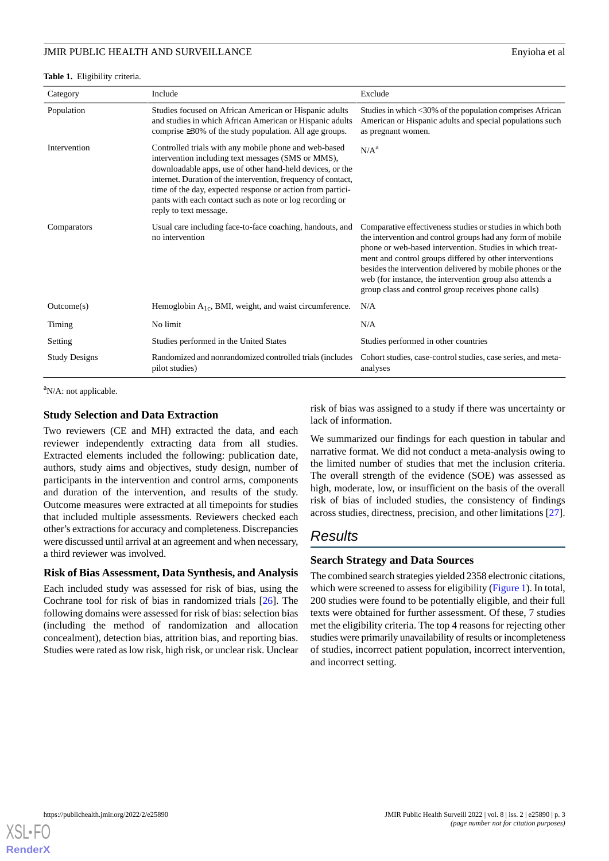#### <span id="page-2-0"></span>**Table 1.** Eligibility criteria.

| Category             | Include                                                                                                                                                                                                                                                                                                                                                                                       | Exclude                                                                                                                                                                                                                                                                                                                                                                                                                          |
|----------------------|-----------------------------------------------------------------------------------------------------------------------------------------------------------------------------------------------------------------------------------------------------------------------------------------------------------------------------------------------------------------------------------------------|----------------------------------------------------------------------------------------------------------------------------------------------------------------------------------------------------------------------------------------------------------------------------------------------------------------------------------------------------------------------------------------------------------------------------------|
| Population           | Studies focused on African American or Hispanic adults<br>and studies in which African American or Hispanic adults<br>comprise $\geq 30\%$ of the study population. All age groups.                                                                                                                                                                                                           | Studies in which <30% of the population comprises African<br>American or Hispanic adults and special populations such<br>as pregnant women.                                                                                                                                                                                                                                                                                      |
| Intervention         | Controlled trials with any mobile phone and web-based<br>intervention including text messages (SMS or MMS),<br>downloadable apps, use of other hand-held devices, or the<br>internet. Duration of the intervention, frequency of contact,<br>time of the day, expected response or action from partici-<br>pants with each contact such as note or log recording or<br>reply to text message. | N/A <sup>a</sup>                                                                                                                                                                                                                                                                                                                                                                                                                 |
| Comparators          | Usual care including face-to-face coaching, handouts, and<br>no intervention                                                                                                                                                                                                                                                                                                                  | Comparative effectiveness studies or studies in which both<br>the intervention and control groups had any form of mobile<br>phone or web-based intervention. Studies in which treat-<br>ment and control groups differed by other interventions<br>besides the intervention delivered by mobile phones or the<br>web (for instance, the intervention group also attends a<br>group class and control group receives phone calls) |
| Outcome(s)           | Hemoglobin $A_{1c}$ , BMI, weight, and waist circumference.                                                                                                                                                                                                                                                                                                                                   | N/A                                                                                                                                                                                                                                                                                                                                                                                                                              |
| Timing               | No limit                                                                                                                                                                                                                                                                                                                                                                                      | N/A                                                                                                                                                                                                                                                                                                                                                                                                                              |
| Setting              | Studies performed in the United States                                                                                                                                                                                                                                                                                                                                                        | Studies performed in other countries                                                                                                                                                                                                                                                                                                                                                                                             |
| <b>Study Designs</b> | Randomized and nonrandomized controlled trials (includes<br>pilot studies)                                                                                                                                                                                                                                                                                                                    | Cohort studies, case-control studies, case series, and meta-<br>analyses                                                                                                                                                                                                                                                                                                                                                         |

<sup>a</sup>N/A: not applicable.

# **Study Selection and Data Extraction**

Two reviewers (CE and MH) extracted the data, and each reviewer independently extracting data from all studies. Extracted elements included the following: publication date, authors, study aims and objectives, study design, number of participants in the intervention and control arms, components and duration of the intervention, and results of the study. Outcome measures were extracted at all timepoints for studies that included multiple assessments. Reviewers checked each other's extractions for accuracy and completeness. Discrepancies were discussed until arrival at an agreement and when necessary, a third reviewer was involved.

# **Risk of Bias Assessment, Data Synthesis, and Analysis**

Each included study was assessed for risk of bias, using the Cochrane tool for risk of bias in randomized trials [[26\]](#page-11-1). The following domains were assessed for risk of bias: selection bias (including the method of randomization and allocation concealment), detection bias, attrition bias, and reporting bias. Studies were rated as low risk, high risk, or unclear risk. Unclear

risk of bias was assigned to a study if there was uncertainty or lack of information.

We summarized our findings for each question in tabular and narrative format. We did not conduct a meta-analysis owing to the limited number of studies that met the inclusion criteria. The overall strength of the evidence (SOE) was assessed as high, moderate, low, or insufficient on the basis of the overall risk of bias of included studies, the consistency of findings across studies, directness, precision, and other limitations [[27\]](#page-11-2).

# *Results*

# **Search Strategy and Data Sources**

The combined search strategies yielded 2358 electronic citations, which were screened to assess for eligibility ([Figure 1\)](#page-3-0). In total, 200 studies were found to be potentially eligible, and their full texts were obtained for further assessment. Of these, 7 studies met the eligibility criteria. The top 4 reasons for rejecting other studies were primarily unavailability of results or incompleteness of studies, incorrect patient population, incorrect intervention, and incorrect setting.

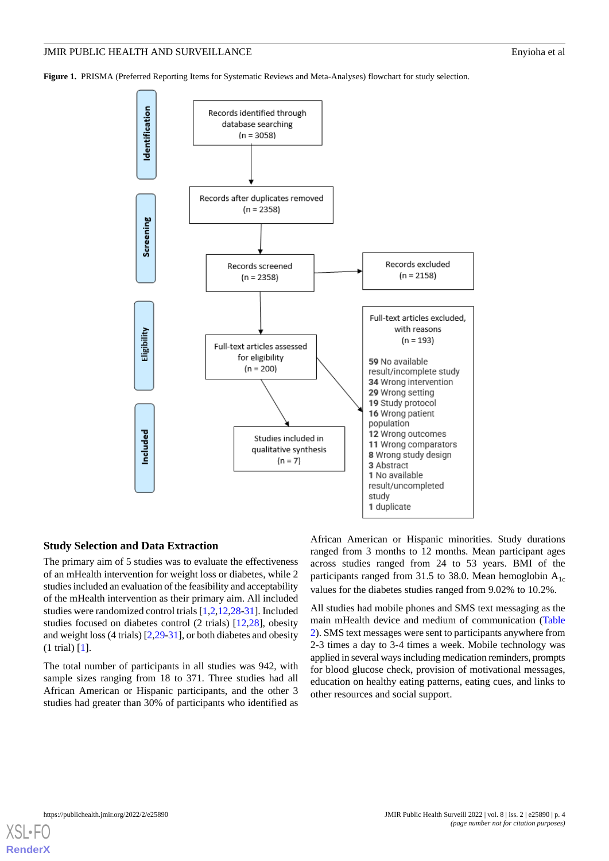<span id="page-3-0"></span>**Figure 1.** PRISMA (Preferred Reporting Items for Systematic Reviews and Meta-Analyses) flowchart for study selection.



# **Study Selection and Data Extraction**

The primary aim of 5 studies was to evaluate the effectiveness of an mHealth intervention for weight loss or diabetes, while 2 studies included an evaluation of the feasibility and acceptability of the mHealth intervention as their primary aim. All included studies were randomized control trials [\[1](#page-9-0),[2,](#page-9-1)[12](#page-10-6),[28-](#page-11-3)[31\]](#page-11-4). Included studies focused on diabetes control (2 trials) [\[12](#page-10-6),[28\]](#page-11-3), obesity and weight loss (4 trials) [[2](#page-9-1)[,29](#page-11-5)-[31](#page-11-4)], or both diabetes and obesity (1 trial) [[1\]](#page-9-0).

The total number of participants in all studies was 942, with sample sizes ranging from 18 to 371. Three studies had all African American or Hispanic participants, and the other 3 studies had greater than 30% of participants who identified as

African American or Hispanic minorities. Study durations ranged from 3 months to 12 months. Mean participant ages across studies ranged from 24 to 53 years. BMI of the participants ranged from 31.5 to 38.0. Mean hemoglobin  $A_{1c}$ values for the diabetes studies ranged from 9.02% to 10.2%.

All studies had mobile phones and SMS text messaging as the main mHealth device and medium of communication ([Table](#page-4-0) [2\)](#page-4-0). SMS text messages were sent to participants anywhere from 2-3 times a day to 3-4 times a week. Mobile technology was applied in several ways including medication reminders, prompts for blood glucose check, provision of motivational messages, education on healthy eating patterns, eating cues, and links to other resources and social support.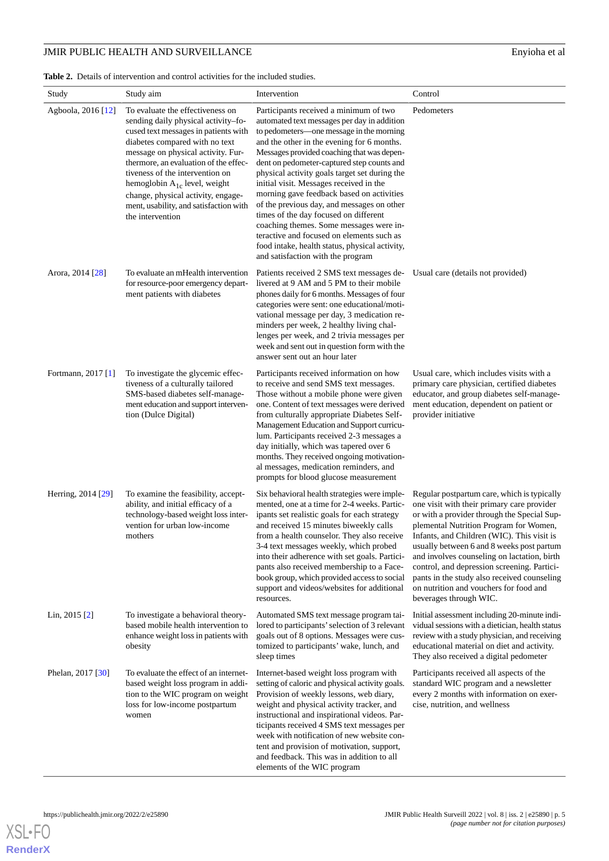# **JMIR PUBLIC HEALTH AND SURVEILLANCE** Enyioha et al

<span id="page-4-0"></span>**Table 2.** Details of intervention and control activities for the included studies.

| Study              | Study aim                                                                                                                                                                                                                                                                                                                                                                                                    | Intervention                                                                                                                                                                                                                                                                                                                                                                                                                                                                                                                                                                                                                                                                               | Control                                                                                                                                                                                                                                                                                                                                                                                                                                                                                        |
|--------------------|--------------------------------------------------------------------------------------------------------------------------------------------------------------------------------------------------------------------------------------------------------------------------------------------------------------------------------------------------------------------------------------------------------------|--------------------------------------------------------------------------------------------------------------------------------------------------------------------------------------------------------------------------------------------------------------------------------------------------------------------------------------------------------------------------------------------------------------------------------------------------------------------------------------------------------------------------------------------------------------------------------------------------------------------------------------------------------------------------------------------|------------------------------------------------------------------------------------------------------------------------------------------------------------------------------------------------------------------------------------------------------------------------------------------------------------------------------------------------------------------------------------------------------------------------------------------------------------------------------------------------|
| Agboola, 2016 [12] | To evaluate the effectiveness on<br>sending daily physical activity-fo-<br>cused text messages in patients with<br>diabetes compared with no text<br>message on physical activity. Fur-<br>thermore, an evaluation of the effec-<br>tiveness of the intervention on<br>hemoglobin $A_{1c}$ level, weight<br>change, physical activity, engage-<br>ment, usability, and satisfaction with<br>the intervention | Participants received a minimum of two<br>automated text messages per day in addition<br>to pedometers—one message in the morning<br>and the other in the evening for 6 months.<br>Messages provided coaching that was depen-<br>dent on pedometer-captured step counts and<br>physical activity goals target set during the<br>initial visit. Messages received in the<br>morning gave feedback based on activities<br>of the previous day, and messages on other<br>times of the day focused on different<br>coaching themes. Some messages were in-<br>teractive and focused on elements such as<br>food intake, health status, physical activity,<br>and satisfaction with the program | Pedometers                                                                                                                                                                                                                                                                                                                                                                                                                                                                                     |
| Arora, 2014 [28]   | To evaluate an mHealth intervention<br>for resource-poor emergency depart-<br>ment patients with diabetes                                                                                                                                                                                                                                                                                                    | Patients received 2 SMS text messages de-<br>livered at 9 AM and 5 PM to their mobile<br>phones daily for 6 months. Messages of four<br>categories were sent: one educational/moti-<br>vational message per day, 3 medication re-<br>minders per week, 2 healthy living chal-<br>lenges per week, and 2 trivia messages per<br>week and sent out in question form with the<br>answer sent out an hour later                                                                                                                                                                                                                                                                                | Usual care (details not provided)                                                                                                                                                                                                                                                                                                                                                                                                                                                              |
| Fortmann, 2017 [1] | To investigate the glycemic effec-<br>tiveness of a culturally tailored<br>SMS-based diabetes self-manage-<br>ment education and support interven-<br>tion (Dulce Digital)                                                                                                                                                                                                                                   | Participants received information on how<br>to receive and send SMS text messages.<br>Those without a mobile phone were given<br>one. Content of text messages were derived<br>from culturally appropriate Diabetes Self-<br>Management Education and Support curricu-<br>lum. Participants received 2-3 messages a<br>day initially, which was tapered over 6<br>months. They received ongoing motivation-<br>al messages, medication reminders, and<br>prompts for blood glucose measurement                                                                                                                                                                                             | Usual care, which includes visits with a<br>primary care physician, certified diabetes<br>educator, and group diabetes self-manage-<br>ment education, dependent on patient or<br>provider initiative                                                                                                                                                                                                                                                                                          |
| Herring, 2014 [29] | To examine the feasibility, accept-<br>ability, and initial efficacy of a<br>technology-based weight loss inter-<br>vention for urban low-income<br>mothers                                                                                                                                                                                                                                                  | Six behavioral health strategies were imple-<br>mented, one at a time for 2-4 weeks. Partic-<br>ipants set realistic goals for each strategy<br>and received 15 minutes biweekly calls<br>from a health counselor. They also receive<br>3-4 text messages weekly, which probed<br>into their adherence with set goals. Partici-<br>pants also received membership to a Face-<br>book group, which provided access to social<br>support and videos/websites for additional<br>resources.                                                                                                                                                                                                    | Regular postpartum care, which is typically<br>one visit with their primary care provider<br>or with a provider through the Special Sup-<br>plemental Nutrition Program for Women,<br>Infants, and Children (WIC). This visit is<br>usually between 6 and 8 weeks post partum<br>and involves counseling on lactation, birth<br>control, and depression screening. Partici-<br>pants in the study also received counseling<br>on nutrition and vouchers for food and<br>beverages through WIC. |
| Lin, $2015$ [2]    | To investigate a behavioral theory-<br>based mobile health intervention to<br>enhance weight loss in patients with<br>obesity                                                                                                                                                                                                                                                                                | Automated SMS text message program tai-<br>lored to participants' selection of 3 relevant<br>goals out of 8 options. Messages were cus-<br>tomized to participants' wake, lunch, and<br>sleep times                                                                                                                                                                                                                                                                                                                                                                                                                                                                                        | Initial assessment including 20-minute indi-<br>vidual sessions with a dietician, health status<br>review with a study physician, and receiving<br>educational material on diet and activity.<br>They also received a digital pedometer                                                                                                                                                                                                                                                        |
| Phelan, 2017 [30]  | To evaluate the effect of an internet-<br>based weight loss program in addi-<br>tion to the WIC program on weight<br>loss for low-income postpartum<br>women                                                                                                                                                                                                                                                 | Internet-based weight loss program with<br>setting of caloric and physical activity goals.<br>Provision of weekly lessons, web diary,<br>weight and physical activity tracker, and<br>instructional and inspirational videos. Par-<br>ticipants received 4 SMS text messages per<br>week with notification of new website con-<br>tent and provision of motivation, support,<br>and feedback. This was in addition to all<br>elements of the WIC program                                                                                                                                                                                                                                   | Participants received all aspects of the<br>standard WIC program and a newsletter<br>every 2 months with information on exer-<br>cise, nutrition, and wellness                                                                                                                                                                                                                                                                                                                                 |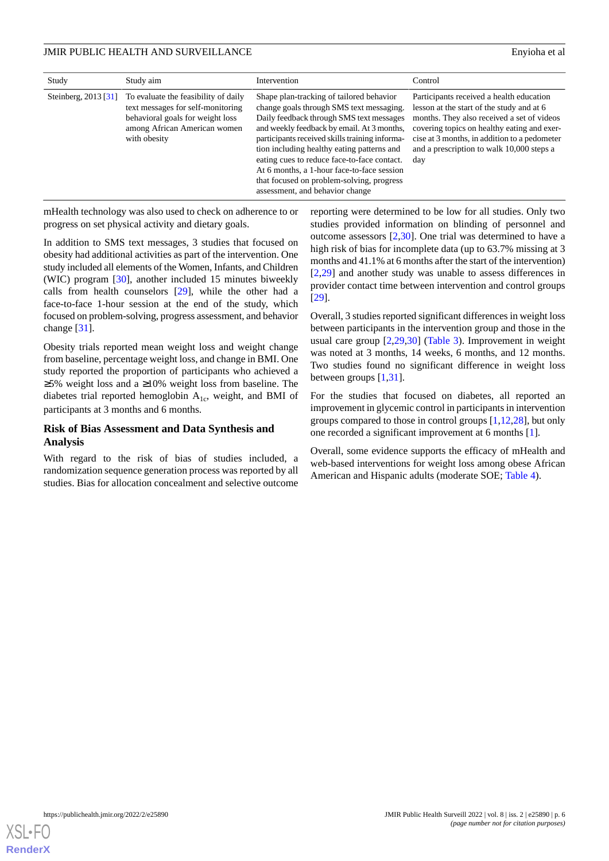| Study                | Study aim                                                                                                                                                     | Intervention                                                                                                                                                                                                                                                                                                                                                                                                                                                | Control                                                                                                                                                                                                                                                                                |
|----------------------|---------------------------------------------------------------------------------------------------------------------------------------------------------------|-------------------------------------------------------------------------------------------------------------------------------------------------------------------------------------------------------------------------------------------------------------------------------------------------------------------------------------------------------------------------------------------------------------------------------------------------------------|----------------------------------------------------------------------------------------------------------------------------------------------------------------------------------------------------------------------------------------------------------------------------------------|
| Steinberg, 2013 [31] | To evaluate the feasibility of daily<br>text messages for self-monitoring<br>behavioral goals for weight loss<br>among African American women<br>with obesity | Shape plan-tracking of tailored behavior<br>change goals through SMS text messaging.<br>Daily feedback through SMS text messages<br>and weekly feedback by email. At 3 months,<br>participants received skills training informa-<br>tion including healthy eating patterns and<br>eating cues to reduce face-to-face contact.<br>At 6 months, a 1-hour face-to-face session<br>that focused on problem-solving, progress<br>assessment, and behavior change | Participants received a health education<br>lesson at the start of the study and at 6<br>months. They also received a set of videos<br>covering topics on healthy eating and exer-<br>cise at 3 months, in addition to a pedometer<br>and a prescription to walk 10,000 steps a<br>day |

mHealth technology was also used to check on adherence to or progress on set physical activity and dietary goals.

In addition to SMS text messages, 3 studies that focused on obesity had additional activities as part of the intervention. One study included all elements of the Women, Infants, and Children (WIC) program [[30\]](#page-11-6), another included 15 minutes biweekly calls from health counselors [[29\]](#page-11-5), while the other had a face-to-face 1-hour session at the end of the study, which focused on problem-solving, progress assessment, and behavior change [[31\]](#page-11-4).

Obesity trials reported mean weight loss and weight change from baseline, percentage weight loss, and change in BMI. One study reported the proportion of participants who achieved a ≥5% weight loss and a ≥10% weight loss from baseline. The diabetes trial reported hemoglobin  $A_{1c}$ , weight, and BMI of participants at 3 months and 6 months.

# **Risk of Bias Assessment and Data Synthesis and Analysis**

With regard to the risk of bias of studies included, a randomization sequence generation process was reported by all studies. Bias for allocation concealment and selective outcome reporting were determined to be low for all studies. Only two studies provided information on blinding of personnel and outcome assessors [\[2](#page-9-1),[30\]](#page-11-6). One trial was determined to have a high risk of bias for incomplete data (up to 63.7% missing at 3 months and 41.1% at 6 months after the start of the intervention) [[2](#page-9-1)[,29](#page-11-5)] and another study was unable to assess differences in provider contact time between intervention and control groups [[29\]](#page-11-5).

Overall, 3 studies reported significant differences in weight loss between participants in the intervention group and those in the usual care group [\[2](#page-9-1),[29,](#page-11-5)[30](#page-11-6)] [\(Table 3](#page-6-0)). Improvement in weight was noted at 3 months, 14 weeks, 6 months, and 12 months. Two studies found no significant difference in weight loss between groups [\[1,](#page-9-0)[31](#page-11-4)].

For the studies that focused on diabetes, all reported an improvement in glycemic control in participants in intervention groups compared to those in control groups [[1,](#page-9-0)[12,](#page-10-6)[28\]](#page-11-3), but only one recorded a significant improvement at 6 months [[1](#page-9-0)].

Overall, some evidence supports the efficacy of mHealth and web-based interventions for weight loss among obese African American and Hispanic adults (moderate SOE; [Table 4\)](#page-8-0).

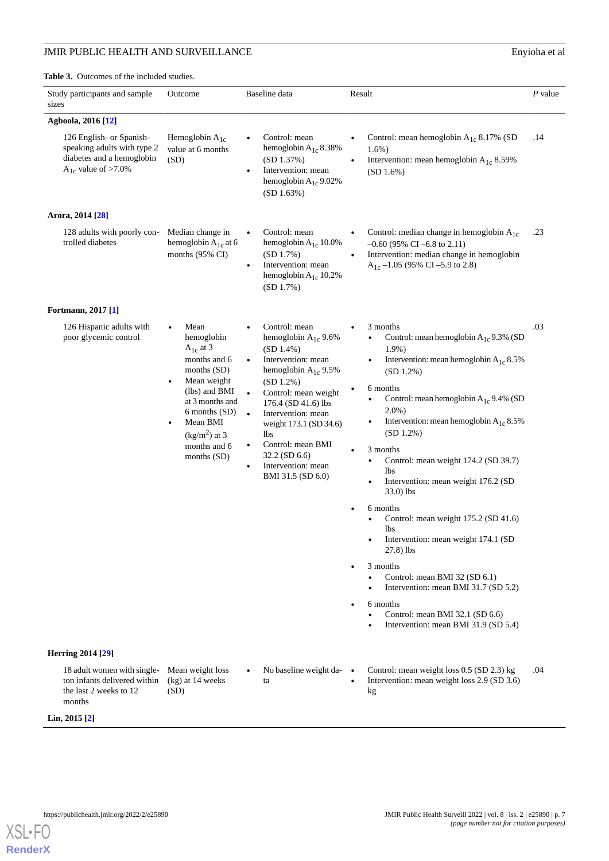# JMIR PUBLIC HEALTH AND SURVEILLANCE Enyioha et al

<span id="page-6-0"></span>**Table 3.** Outcomes of the included studies.

| Study participants and sample<br>sizes                                                                          | Outcome                                                                                                                                                                                                                                | Baseline data                                                                                                                                                                                                                                                                                                                                                             | Result                                                                                                                                                                                                                                                                                                                                                                                                                                                                                                                                                                                                                                                                                                                                   | $P$ value |
|-----------------------------------------------------------------------------------------------------------------|----------------------------------------------------------------------------------------------------------------------------------------------------------------------------------------------------------------------------------------|---------------------------------------------------------------------------------------------------------------------------------------------------------------------------------------------------------------------------------------------------------------------------------------------------------------------------------------------------------------------------|------------------------------------------------------------------------------------------------------------------------------------------------------------------------------------------------------------------------------------------------------------------------------------------------------------------------------------------------------------------------------------------------------------------------------------------------------------------------------------------------------------------------------------------------------------------------------------------------------------------------------------------------------------------------------------------------------------------------------------------|-----------|
| Agboola, 2016 [12]                                                                                              |                                                                                                                                                                                                                                        |                                                                                                                                                                                                                                                                                                                                                                           |                                                                                                                                                                                                                                                                                                                                                                                                                                                                                                                                                                                                                                                                                                                                          |           |
| 126 English- or Spanish-<br>speaking adults with type 2<br>diabetes and a hemoglobin<br>$A_{1c}$ value of >7.0% | Hemoglobin $A_{1c}$<br>value at 6 months<br>(SD)                                                                                                                                                                                       | Control: mean<br>hemoglobin $A_{1c}$ 8.38%<br>(SD 1.37%)<br>Intervention: mean<br>$\bullet$<br>hemoglobin $A_{1c}$ 9.02%<br>(SD 1.63%)                                                                                                                                                                                                                                    | Control: mean hemoglobin $A_{1c}$ 8.17% (SD<br>$1.6\%$ )<br>Intervention: mean hemoglobin $A_{1c}$ 8.59%<br>(SD 1.6%)                                                                                                                                                                                                                                                                                                                                                                                                                                                                                                                                                                                                                    | .14       |
| Arora, 2014 [28]                                                                                                |                                                                                                                                                                                                                                        |                                                                                                                                                                                                                                                                                                                                                                           |                                                                                                                                                                                                                                                                                                                                                                                                                                                                                                                                                                                                                                                                                                                                          |           |
| 128 adults with poorly con-<br>trolled diabetes                                                                 | Median change in<br>hemoglobin $A_{1c}$ at 6<br>months (95% CI)                                                                                                                                                                        | Control: mean<br>$\bullet$<br>hemoglobin $A_{1c}$ 10.0%<br>(SD 1.7%)<br>Intervention: mean<br>$\bullet$<br>hemoglobin $A_{1c}$ 10.2%<br>(SD 1.7%)                                                                                                                                                                                                                         | Control: median change in hemoglobin $A_{1c}$<br>$\bullet$<br>$-0.60$ (95% CI $-6.8$ to 2.11)<br>Intervention: median change in hemoglobin<br>$A_{1c}$ –1.05 (95% CI –5.9 to 2.8)                                                                                                                                                                                                                                                                                                                                                                                                                                                                                                                                                        | .23       |
| Fortmann, 2017 [1]                                                                                              |                                                                                                                                                                                                                                        |                                                                                                                                                                                                                                                                                                                                                                           |                                                                                                                                                                                                                                                                                                                                                                                                                                                                                                                                                                                                                                                                                                                                          |           |
| 126 Hispanic adults with<br>poor glycemic control                                                               | Mean<br>hemoglobin<br>$A_{1c}$ at 3<br>months and 6<br>months $(SD)$<br>Mean weight<br>٠<br>(lbs) and BMI<br>at 3 months and<br>6 months (SD)<br>Mean BMI<br>٠<br>$\frac{\text{kg}}{\text{m}^2}$ at 3<br>months and 6<br>months $(SD)$ | Control: mean<br>hemoglobin $A_{1c}$ 9.6%<br>$(SD 1.4\%)$<br>Intervention: mean<br>$\bullet$<br>hemoglobin $A_{1c}$ 9.5%<br>$(SD 1.2\%)$<br>Control: mean weight<br>176.4 (SD 41.6) lbs<br>Intervention: mean<br>$\bullet$<br>weight 173.1 (SD 34.6)<br>lbs.<br>Control: mean BMI<br>$\bullet$<br>$32.2$ (SD 6.6)<br>Intervention: mean<br>$\bullet$<br>BMI 31.5 (SD 6.0) | 3 months<br>Control: mean hemoglobin $A_{1c}$ 9.3% (SD<br>$1.9\%$ )<br>Intervention: mean hemoglobin $A_{1c}$ 8.5%<br>$\bullet$<br>$(SD 1.2\%)$<br>6 months<br>Control: mean hemoglobin $A_{1c}$ 9.4% (SD<br>$2.0\%$ )<br>Intervention: mean hemoglobin $A_{1c}$ 8.5%<br>(SD 1.2%)<br>3 months<br>Control: mean weight 174.2 (SD 39.7)<br><b>lbs</b><br>Intervention: mean weight 176.2 (SD<br>$33.0$ ) lbs<br>6 months<br>٠<br>Control: mean weight 175.2 (SD 41.6)<br>lbs<br>Intervention: mean weight 174.1 (SD<br>$\bullet$<br>$27.8$ ) lbs<br>3 months<br>Control: mean BMI 32 (SD 6.1)<br>Intervention: mean BMI 31.7 (SD 5.2)<br>6 months<br>$\bullet$<br>Control: mean BMI 32.1 (SD 6.6)<br>Intervention: mean BMI 31.9 (SD 5.4) | .03       |
| <b>Herring 2014 [29]</b>                                                                                        |                                                                                                                                                                                                                                        |                                                                                                                                                                                                                                                                                                                                                                           |                                                                                                                                                                                                                                                                                                                                                                                                                                                                                                                                                                                                                                                                                                                                          |           |
| 18 adult women with single-<br>ton infants delivered within<br>the last 2 weeks to 12<br>months                 | Mean weight loss<br>(kg) at 14 weeks<br>(SD)                                                                                                                                                                                           | No baseline weight da- $\bullet$<br>ta                                                                                                                                                                                                                                                                                                                                    | Control: mean weight loss 0.5 (SD 2.3) kg<br>Intervention: mean weight loss 2.9 (SD 3.6)<br>$\bullet$<br>kg                                                                                                                                                                                                                                                                                                                                                                                                                                                                                                                                                                                                                              | .04       |
| Lin, $2015$ [2]                                                                                                 |                                                                                                                                                                                                                                        |                                                                                                                                                                                                                                                                                                                                                                           |                                                                                                                                                                                                                                                                                                                                                                                                                                                                                                                                                                                                                                                                                                                                          |           |

**[RenderX](http://www.renderx.com/)**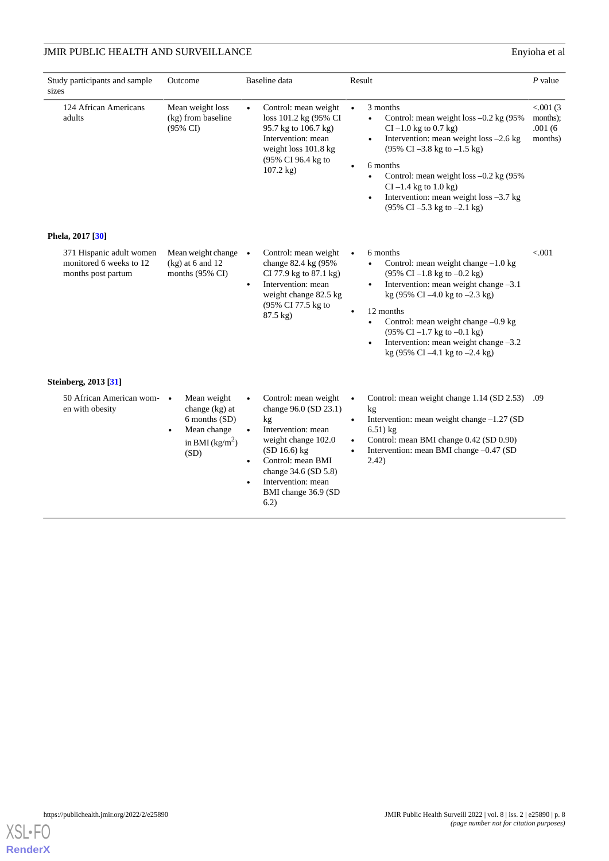# **JMIR PUBLIC HEALTH AND SURVEILLANCE** Enyioha et al

| Study participants and sample<br>sizes                                    | Outcome                                                                                      | Baseline data                                                                                                                                                                                                                                             | Result                                                                                                                                                                                                                                                                                                                                                                                                                                                                                             | $P$ value                                    |
|---------------------------------------------------------------------------|----------------------------------------------------------------------------------------------|-----------------------------------------------------------------------------------------------------------------------------------------------------------------------------------------------------------------------------------------------------------|----------------------------------------------------------------------------------------------------------------------------------------------------------------------------------------------------------------------------------------------------------------------------------------------------------------------------------------------------------------------------------------------------------------------------------------------------------------------------------------------------|----------------------------------------------|
| 124 African Americans<br>adults                                           | Mean weight loss<br>(kg) from baseline<br>$(95\% \text{ CI})$                                | Control: mean weight<br>loss 101.2 kg (95% CI<br>95.7 kg to 106.7 kg)<br>Intervention: mean<br>weight loss 101.8 kg<br>(95% CI 96.4 kg to<br>$107.2$ kg)                                                                                                  | 3 months<br>$\bullet$<br>Control: mean weight loss $-0.2$ kg (95%)<br>$\bullet$<br>$CI - 1.0$ kg to 0.7 kg)<br>Intervention: mean weight loss -2.6 kg<br>$\bullet$<br>$(95\% \text{ CI} - 3.8 \text{ kg to } -1.5 \text{ kg})$<br>6 months<br>Control: mean weight loss -0.2 kg (95%<br>$\bullet$<br>$CI - 1.4$ kg to $1.0$ kg)<br>Intervention: mean weight loss -3.7 kg<br>$\bullet$<br>$(95\% \text{ CI} - 5.3 \text{ kg to} - 2.1 \text{ kg})$                                                 | < 0.001(3)<br>months);<br>.001(6)<br>months) |
| Phela, 2017 [30]                                                          |                                                                                              |                                                                                                                                                                                                                                                           |                                                                                                                                                                                                                                                                                                                                                                                                                                                                                                    |                                              |
| 371 Hispanic adult women<br>monitored 6 weeks to 12<br>months post partum | Mean weight change $\bullet$<br>$(kg)$ at 6 and 12<br>months (95% CI)                        | Control: mean weight<br>change 82.4 kg (95%<br>CI 77.9 kg to 87.1 kg)<br>Intervention: mean<br>$\bullet$<br>weight change 82.5 kg<br>(95% CI 77.5 kg to<br>87.5 kg)                                                                                       | 6 months<br>$\bullet$<br>Control: mean weight change $-1.0$ kg<br>$\bullet$<br>$(95\% \text{ CI} - 1.8 \text{ kg to } -0.2 \text{ kg})$<br>Intervention: mean weight change -3.1<br>$\bullet$<br>kg (95% CI $-4.0$ kg to $-2.3$ kg)<br>12 months<br>$\bullet$<br>Control: mean weight change -0.9 kg<br>$\bullet$<br>$(95\% \text{ CI} - 1.7 \text{ kg to} - 0.1 \text{ kg})$<br>Intervention: mean weight change -3.2<br>$\bullet$<br>kg $(95\% \text{ CI} - 4.1 \text{ kg to } -2.4 \text{ kg})$ | < .001                                       |
| Steinberg, 2013 [31]                                                      |                                                                                              |                                                                                                                                                                                                                                                           |                                                                                                                                                                                                                                                                                                                                                                                                                                                                                                    |                                              |
| 50 African American wom- •<br>en with obesity                             | Mean weight<br>change $(kg)$ at<br>6 months (SD)<br>Mean change<br>in BMI $(kg/m^2)$<br>(SD) | Control: mean weight<br>$\bullet$<br>change 96.0 (SD 23.1)<br>kg<br>Intervention: mean<br>weight change 102.0<br>(SD 16.6) kg<br>Control: mean BMI<br>$\bullet$<br>change 34.6 (SD 5.8)<br>Intervention: mean<br>$\bullet$<br>BMI change 36.9 (SD<br>6.2) | Control: mean weight change 1.14 (SD 2.53)<br>$\bullet$<br>kg<br>Intervention: mean weight change -1.27 (SD<br>$\bullet$<br>$6.51$ ) kg<br>Control: mean BMI change 0.42 (SD 0.90)<br>$\bullet$<br>Intervention: mean BMI change -0.47 (SD)<br>$\bullet$<br>2.42)                                                                                                                                                                                                                                  | .09                                          |

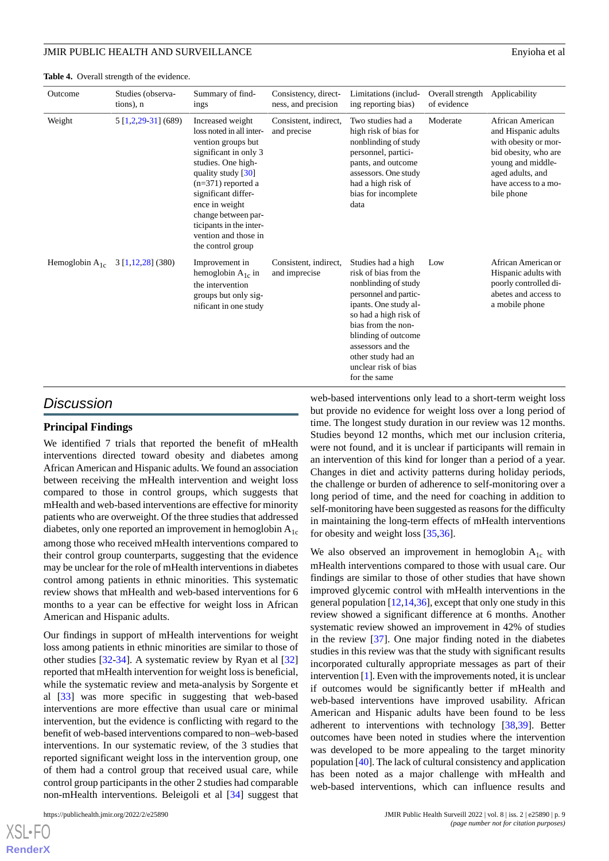#### <span id="page-8-0"></span>**Table 4.** Overall strength of the evidence.

| Outcome             | Studies (observa-<br>tions), n | Summary of find-<br>ings                                                                                                                                                                                                                                                                                             | Consistency, direct-<br>ness, and precision | Limitations (includ-<br>ing reporting bias)                                                                                                                                                                                                                                    | Overall strength<br>of evidence | Applicability                                                                                                                                                          |
|---------------------|--------------------------------|----------------------------------------------------------------------------------------------------------------------------------------------------------------------------------------------------------------------------------------------------------------------------------------------------------------------|---------------------------------------------|--------------------------------------------------------------------------------------------------------------------------------------------------------------------------------------------------------------------------------------------------------------------------------|---------------------------------|------------------------------------------------------------------------------------------------------------------------------------------------------------------------|
| Weight              | 5 [1,2,29-31] (689)            | Increased weight<br>loss noted in all inter-<br>vention groups but<br>significant in only 3<br>studies. One high-<br>quality study $\left[30\right]$<br>$(n=371)$ reported a<br>significant differ-<br>ence in weight<br>change between par-<br>ticipants in the inter-<br>vention and those in<br>the control group | Consistent, indirect,<br>and precise        | Two studies had a<br>high risk of bias for<br>nonblinding of study<br>personnel, partici-<br>pants, and outcome<br>assessors. One study<br>had a high risk of<br>bias for incomplete<br>data                                                                                   | Moderate                        | African American<br>and Hispanic adults<br>with obesity or mor-<br>bid obesity, who are<br>young and middle-<br>aged adults, and<br>have access to a mo-<br>bile phone |
| Hemoglobin $A_{1c}$ | $3\left[1,12,28\right]$ (380)  | Improvement in<br>hemoglobin $A_{1c}$ in<br>the intervention<br>groups but only sig-<br>nificant in one study                                                                                                                                                                                                        | Consistent, indirect.<br>and imprecise      | Studies had a high<br>risk of bias from the<br>nonblinding of study<br>personnel and partic-<br>ipants. One study al-<br>so had a high risk of<br>bias from the non-<br>blinding of outcome<br>assessors and the<br>other study had an<br>unclear risk of bias<br>for the same | Low                             | African American or<br>Hispanic adults with<br>poorly controlled di-<br>abetes and access to<br>a mobile phone                                                         |

# *Discussion*

# **Principal Findings**

We identified 7 trials that reported the benefit of mHealth interventions directed toward obesity and diabetes among African American and Hispanic adults. We found an association between receiving the mHealth intervention and weight loss compared to those in control groups, which suggests that mHealth and web-based interventions are effective for minority patients who are overweight. Of the three studies that addressed diabetes, only one reported an improvement in hemoglobin  $A_{1c}$ among those who received mHealth interventions compared to their control group counterparts, suggesting that the evidence may be unclear for the role of mHealth interventions in diabetes control among patients in ethnic minorities. This systematic review shows that mHealth and web-based interventions for 6 months to a year can be effective for weight loss in African American and Hispanic adults.

Our findings in support of mHealth interventions for weight loss among patients in ethnic minorities are similar to those of other studies [\[32](#page-11-7)-[34\]](#page-11-8). A systematic review by Ryan et al [\[32](#page-11-7)] reported that mHealth intervention for weight loss is beneficial, while the systematic review and meta-analysis by Sorgente et al [\[33](#page-11-9)] was more specific in suggesting that web-based interventions are more effective than usual care or minimal intervention, but the evidence is conflicting with regard to the benefit of web-based interventions compared to non–web-based interventions. In our systematic review, of the 3 studies that reported significant weight loss in the intervention group, one of them had a control group that received usual care, while control group participants in the other 2 studies had comparable non-mHealth interventions. Beleigoli et al [\[34](#page-11-8)] suggest that

 $X$ SL•F $O$ **[RenderX](http://www.renderx.com/)** web-based interventions only lead to a short-term weight loss but provide no evidence for weight loss over a long period of time. The longest study duration in our review was 12 months. Studies beyond 12 months, which met our inclusion criteria, were not found, and it is unclear if participants will remain in an intervention of this kind for longer than a period of a year. Changes in diet and activity patterns during holiday periods, the challenge or burden of adherence to self-monitoring over a long period of time, and the need for coaching in addition to self-monitoring have been suggested as reasons for the difficulty in maintaining the long-term effects of mHealth interventions for obesity and weight loss [\[35](#page-11-10),[36\]](#page-11-11).

We also observed an improvement in hemoglobin  $A_{1c}$  with mHealth interventions compared to those with usual care. Our findings are similar to those of other studies that have shown improved glycemic control with mHealth interventions in the general population  $[12, 14, 36]$  $[12, 14, 36]$  $[12, 14, 36]$  $[12, 14, 36]$ , except that only one study in this review showed a significant difference at 6 months. Another systematic review showed an improvement in 42% of studies in the review [[37\]](#page-11-12). One major finding noted in the diabetes studies in this review was that the study with significant results incorporated culturally appropriate messages as part of their intervention [\[1\]](#page-9-0). Even with the improvements noted, it is unclear if outcomes would be significantly better if mHealth and web-based interventions have improved usability. African American and Hispanic adults have been found to be less adherent to interventions with technology [[38](#page-11-13)[,39](#page-11-14)]. Better outcomes have been noted in studies where the intervention was developed to be more appealing to the target minority population [[40\]](#page-11-15). The lack of cultural consistency and application has been noted as a major challenge with mHealth and web-based interventions, which can influence results and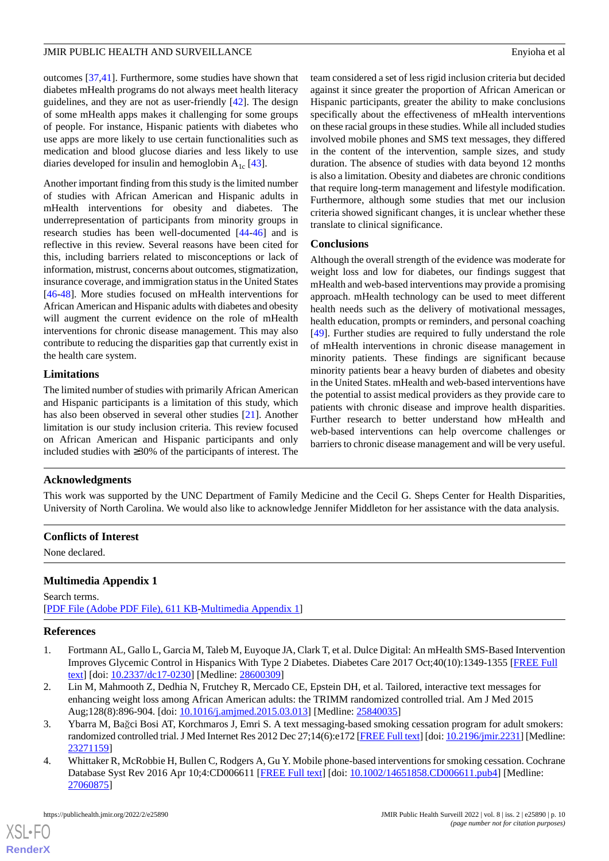outcomes [[37](#page-11-12)[,41](#page-11-16)]. Furthermore, some studies have shown that diabetes mHealth programs do not always meet health literacy guidelines, and they are not as user-friendly [[42\]](#page-11-17). The design of some mHealth apps makes it challenging for some groups of people. For instance, Hispanic patients with diabetes who use apps are more likely to use certain functionalities such as medication and blood glucose diaries and less likely to use diaries developed for insulin and hemoglobin  $A_{1c}$  [[43\]](#page-11-18).

Another important finding from this study is the limited number of studies with African American and Hispanic adults in mHealth interventions for obesity and diabetes. The underrepresentation of participants from minority groups in research studies has been well-documented [[44-](#page-11-19)[46](#page-12-0)] and is reflective in this review. Several reasons have been cited for this, including barriers related to misconceptions or lack of information, mistrust, concerns about outcomes, stigmatization, insurance coverage, and immigration status in the United States [[46](#page-12-0)[-48](#page-12-1)]. More studies focused on mHealth interventions for African American and Hispanic adults with diabetes and obesity will augment the current evidence on the role of mHealth interventions for chronic disease management. This may also contribute to reducing the disparities gap that currently exist in the health care system.

# **Limitations**

The limited number of studies with primarily African American and Hispanic participants is a limitation of this study, which has also been observed in several other studies [[21\]](#page-10-12). Another limitation is our study inclusion criteria. This review focused on African American and Hispanic participants and only included studies with ≥30% of the participants of interest. The

team considered a set of less rigid inclusion criteria but decided against it since greater the proportion of African American or Hispanic participants, greater the ability to make conclusions specifically about the effectiveness of mHealth interventions on these racial groups in these studies. While all included studies involved mobile phones and SMS text messages, they differed in the content of the intervention, sample sizes, and study duration. The absence of studies with data beyond 12 months is also a limitation. Obesity and diabetes are chronic conditions that require long-term management and lifestyle modification. Furthermore, although some studies that met our inclusion criteria showed significant changes, it is unclear whether these translate to clinical significance.

# **Conclusions**

Although the overall strength of the evidence was moderate for weight loss and low for diabetes, our findings suggest that mHealth and web-based interventions may provide a promising approach. mHealth technology can be used to meet different health needs such as the delivery of motivational messages, health education, prompts or reminders, and personal coaching [[49\]](#page-12-2). Further studies are required to fully understand the role of mHealth interventions in chronic disease management in minority patients. These findings are significant because minority patients bear a heavy burden of diabetes and obesity in the United States. mHealth and web-based interventions have the potential to assist medical providers as they provide care to patients with chronic disease and improve health disparities. Further research to better understand how mHealth and web-based interventions can help overcome challenges or barriers to chronic disease management and will be very useful.

# **Acknowledgments**

This work was supported by the UNC Department of Family Medicine and the Cecil G. Sheps Center for Health Disparities, University of North Carolina. We would also like to acknowledge Jennifer Middleton for her assistance with the data analysis.

#### <span id="page-9-4"></span>**Conflicts of Interest**

None declared.

# <span id="page-9-0"></span>**Multimedia Appendix 1**

Search terms. [[PDF File \(Adobe PDF File\), 611 KB](https://jmir.org/api/download?alt_name=publichealth_v8i2e25890_app1.pdf&filename=1251b23ebdf25bd87a14b5ff4a40e642.pdf)-[Multimedia Appendix 1\]](https://jmir.org/api/download?alt_name=publichealth_v8i2e25890_app1.pdf&filename=1251b23ebdf25bd87a14b5ff4a40e642.pdf)

# <span id="page-9-1"></span>**References**

- <span id="page-9-2"></span>1. Fortmann AL, Gallo L, Garcia M, Taleb M, Euyoque JA, Clark T, et al. Dulce Digital: An mHealth SMS-Based Intervention Improves Glycemic Control in Hispanics With Type 2 Diabetes. Diabetes Care 2017 Oct;40(10):1349-1355 [\[FREE Full](http://europepmc.org/abstract/MED/28600309) [text](http://europepmc.org/abstract/MED/28600309)] [doi: [10.2337/dc17-0230\]](http://dx.doi.org/10.2337/dc17-0230) [Medline: [28600309](http://www.ncbi.nlm.nih.gov/entrez/query.fcgi?cmd=Retrieve&db=PubMed&list_uids=28600309&dopt=Abstract)]
- <span id="page-9-3"></span>2. Lin M, Mahmooth Z, Dedhia N, Frutchey R, Mercado CE, Epstein DH, et al. Tailored, interactive text messages for enhancing weight loss among African American adults: the TRIMM randomized controlled trial. Am J Med 2015 Aug;128(8):896-904. [doi: [10.1016/j.amjmed.2015.03.013\]](http://dx.doi.org/10.1016/j.amjmed.2015.03.013) [Medline: [25840035\]](http://www.ncbi.nlm.nih.gov/entrez/query.fcgi?cmd=Retrieve&db=PubMed&list_uids=25840035&dopt=Abstract)
- 3. Ybarra M, Bağci Bosi AT, Korchmaros J, Emri S. A text messaging-based smoking cessation program for adult smokers: randomized controlled trial. J Med Internet Res 2012 Dec 27;14(6):e172 [\[FREE Full text](https://www.jmir.org/2012/6/e172/)] [doi: [10.2196/jmir.2231\]](http://dx.doi.org/10.2196/jmir.2231) [Medline: [23271159](http://www.ncbi.nlm.nih.gov/entrez/query.fcgi?cmd=Retrieve&db=PubMed&list_uids=23271159&dopt=Abstract)]
- 4. Whittaker R, McRobbie H, Bullen C, Rodgers A, Gu Y. Mobile phone-based interventions for smoking cessation. Cochrane Database Syst Rev 2016 Apr 10;4:CD006611 [[FREE Full text](http://europepmc.org/abstract/MED/27060875)] [doi: [10.1002/14651858.CD006611.pub4](http://dx.doi.org/10.1002/14651858.CD006611.pub4)] [Medline: [27060875](http://www.ncbi.nlm.nih.gov/entrez/query.fcgi?cmd=Retrieve&db=PubMed&list_uids=27060875&dopt=Abstract)]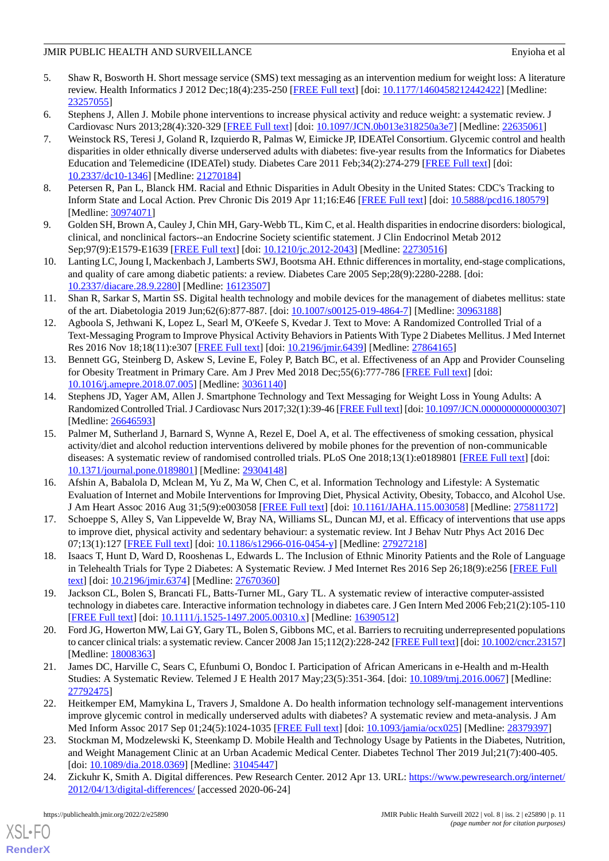- <span id="page-10-0"></span>5. Shaw R, Bosworth H. Short message service (SMS) text messaging as an intervention medium for weight loss: A literature review. Health Informatics J 2012 Dec;18(4):235-250 [[FREE Full text](https://journals.sagepub.com/doi/10.1177/1460458212442422?url_ver=Z39.88-2003&rfr_id=ori:rid:crossref.org&rfr_dat=cr_pub%3dpubmed)] [doi: [10.1177/1460458212442422\]](http://dx.doi.org/10.1177/1460458212442422) [Medline: [23257055](http://www.ncbi.nlm.nih.gov/entrez/query.fcgi?cmd=Retrieve&db=PubMed&list_uids=23257055&dopt=Abstract)]
- <span id="page-10-1"></span>6. Stephens J, Allen J. Mobile phone interventions to increase physical activity and reduce weight: a systematic review. J Cardiovasc Nurs 2013;28(4):320-329 [[FREE Full text](http://europepmc.org/abstract/MED/22635061)] [doi: [10.1097/JCN.0b013e318250a3e7\]](http://dx.doi.org/10.1097/JCN.0b013e318250a3e7) [Medline: [22635061](http://www.ncbi.nlm.nih.gov/entrez/query.fcgi?cmd=Retrieve&db=PubMed&list_uids=22635061&dopt=Abstract)]
- <span id="page-10-2"></span>7. Weinstock RS, Teresi J, Goland R, Izquierdo R, Palmas W, Eimicke JP, IDEATel Consortium. Glycemic control and health disparities in older ethnically diverse underserved adults with diabetes: five-year results from the Informatics for Diabetes Education and Telemedicine (IDEATel) study. Diabetes Care 2011 Feb;34(2):274-279 [\[FREE Full text](http://europepmc.org/abstract/MED/21270184)] [doi: [10.2337/dc10-1346\]](http://dx.doi.org/10.2337/dc10-1346) [Medline: [21270184](http://www.ncbi.nlm.nih.gov/entrez/query.fcgi?cmd=Retrieve&db=PubMed&list_uids=21270184&dopt=Abstract)]
- <span id="page-10-3"></span>8. Petersen R, Pan L, Blanck HM. Racial and Ethnic Disparities in Adult Obesity in the United States: CDC's Tracking to Inform State and Local Action. Prev Chronic Dis 2019 Apr 11;16:E46 [[FREE Full text\]](https://www.cdc.gov/pcd/issues/2019/18_0579.htm) [doi: [10.5888/pcd16.180579](http://dx.doi.org/10.5888/pcd16.180579)] [Medline: [30974071](http://www.ncbi.nlm.nih.gov/entrez/query.fcgi?cmd=Retrieve&db=PubMed&list_uids=30974071&dopt=Abstract)]
- <span id="page-10-4"></span>9. Golden SH, Brown A, Cauley J, Chin MH, Gary-Webb TL, Kim C, et al. Health disparities in endocrine disorders: biological, clinical, and nonclinical factors--an Endocrine Society scientific statement. J Clin Endocrinol Metab 2012 Sep;97(9):E1579-E1639 [\[FREE Full text](http://europepmc.org/abstract/MED/22730516)] [doi: [10.1210/jc.2012-2043](http://dx.doi.org/10.1210/jc.2012-2043)] [Medline: [22730516\]](http://www.ncbi.nlm.nih.gov/entrez/query.fcgi?cmd=Retrieve&db=PubMed&list_uids=22730516&dopt=Abstract)
- <span id="page-10-5"></span>10. Lanting LC, Joung I, Mackenbach J, Lamberts SWJ, Bootsma AH. Ethnic differences in mortality, end-stage complications, and quality of care among diabetic patients: a review. Diabetes Care 2005 Sep;28(9):2280-2288. [doi: [10.2337/diacare.28.9.2280](http://dx.doi.org/10.2337/diacare.28.9.2280)] [Medline: [16123507\]](http://www.ncbi.nlm.nih.gov/entrez/query.fcgi?cmd=Retrieve&db=PubMed&list_uids=16123507&dopt=Abstract)
- <span id="page-10-6"></span>11. Shan R, Sarkar S, Martin SS. Digital health technology and mobile devices for the management of diabetes mellitus: state of the art. Diabetologia 2019 Jun;62(6):877-887. [doi: [10.1007/s00125-019-4864-7](http://dx.doi.org/10.1007/s00125-019-4864-7)] [Medline: [30963188](http://www.ncbi.nlm.nih.gov/entrez/query.fcgi?cmd=Retrieve&db=PubMed&list_uids=30963188&dopt=Abstract)]
- 12. Agboola S, Jethwani K, Lopez L, Searl M, O'Keefe S, Kvedar J. Text to Move: A Randomized Controlled Trial of a Text-Messaging Program to Improve Physical Activity Behaviors in Patients With Type 2 Diabetes Mellitus. J Med Internet Res 2016 Nov 18;18(11):e307 [[FREE Full text](https://www.jmir.org/2016/11/e307/)] [doi: [10.2196/jmir.6439](http://dx.doi.org/10.2196/jmir.6439)] [Medline: [27864165\]](http://www.ncbi.nlm.nih.gov/entrez/query.fcgi?cmd=Retrieve&db=PubMed&list_uids=27864165&dopt=Abstract)
- <span id="page-10-7"></span>13. Bennett GG, Steinberg D, Askew S, Levine E, Foley P, Batch BC, et al. Effectiveness of an App and Provider Counseling for Obesity Treatment in Primary Care. Am J Prev Med 2018 Dec;55(6):777-786 [[FREE Full text](http://europepmc.org/abstract/MED/30361140)] [doi: [10.1016/j.amepre.2018.07.005](http://dx.doi.org/10.1016/j.amepre.2018.07.005)] [Medline: [30361140\]](http://www.ncbi.nlm.nih.gov/entrez/query.fcgi?cmd=Retrieve&db=PubMed&list_uids=30361140&dopt=Abstract)
- <span id="page-10-8"></span>14. Stephens JD, Yager AM, Allen J. Smartphone Technology and Text Messaging for Weight Loss in Young Adults: A Randomized Controlled Trial. J Cardiovasc Nurs 2017;32(1):39-46 [\[FREE Full text](http://europepmc.org/abstract/MED/26646593)] [doi: [10.1097/JCN.0000000000000307\]](http://dx.doi.org/10.1097/JCN.0000000000000307) [Medline: [26646593](http://www.ncbi.nlm.nih.gov/entrez/query.fcgi?cmd=Retrieve&db=PubMed&list_uids=26646593&dopt=Abstract)]
- 15. Palmer M, Sutherland J, Barnard S, Wynne A, Rezel E, Doel A, et al. The effectiveness of smoking cessation, physical activity/diet and alcohol reduction interventions delivered by mobile phones for the prevention of non-communicable diseases: A systematic review of randomised controlled trials. PLoS One 2018;13(1):e0189801 [[FREE Full text](https://dx.plos.org/10.1371/journal.pone.0189801)] [doi: [10.1371/journal.pone.0189801\]](http://dx.doi.org/10.1371/journal.pone.0189801) [Medline: [29304148](http://www.ncbi.nlm.nih.gov/entrez/query.fcgi?cmd=Retrieve&db=PubMed&list_uids=29304148&dopt=Abstract)]
- <span id="page-10-10"></span><span id="page-10-9"></span>16. Afshin A, Babalola D, Mclean M, Yu Z, Ma W, Chen C, et al. Information Technology and Lifestyle: A Systematic Evaluation of Internet and Mobile Interventions for Improving Diet, Physical Activity, Obesity, Tobacco, and Alcohol Use. J Am Heart Assoc 2016 Aug 31;5(9):e003058 [[FREE Full text](https://www.ahajournals.org/doi/10.1161/JAHA.115.003058?url_ver=Z39.88-2003&rfr_id=ori:rid:crossref.org&rfr_dat=cr_pub%3dpubmed)] [doi: [10.1161/JAHA.115.003058\]](http://dx.doi.org/10.1161/JAHA.115.003058) [Medline: [27581172](http://www.ncbi.nlm.nih.gov/entrez/query.fcgi?cmd=Retrieve&db=PubMed&list_uids=27581172&dopt=Abstract)]
- 17. Schoeppe S, Alley S, Van Lippevelde W, Bray NA, Williams SL, Duncan MJ, et al. Efficacy of interventions that use apps to improve diet, physical activity and sedentary behaviour: a systematic review. Int J Behav Nutr Phys Act 2016 Dec 07;13(1):127 [[FREE Full text\]](https://ijbnpa.biomedcentral.com/articles/10.1186/s12966-016-0454-y) [doi: [10.1186/s12966-016-0454-y](http://dx.doi.org/10.1186/s12966-016-0454-y)] [Medline: [27927218](http://www.ncbi.nlm.nih.gov/entrez/query.fcgi?cmd=Retrieve&db=PubMed&list_uids=27927218&dopt=Abstract)]
- <span id="page-10-11"></span>18. Isaacs T, Hunt D, Ward D, Rooshenas L, Edwards L. The Inclusion of Ethnic Minority Patients and the Role of Language in Telehealth Trials for Type 2 Diabetes: A Systematic Review. J Med Internet Res 2016 Sep 26;18(9):e256 [[FREE Full](https://www.jmir.org/2016/9/e256/) [text](https://www.jmir.org/2016/9/e256/)] [doi: [10.2196/jmir.6374](http://dx.doi.org/10.2196/jmir.6374)] [Medline: [27670360](http://www.ncbi.nlm.nih.gov/entrez/query.fcgi?cmd=Retrieve&db=PubMed&list_uids=27670360&dopt=Abstract)]
- <span id="page-10-12"></span>19. Jackson CL, Bolen S, Brancati FL, Batts-Turner ML, Gary TL. A systematic review of interactive computer-assisted technology in diabetes care. Interactive information technology in diabetes care. J Gen Intern Med 2006 Feb;21(2):105-110 [[FREE Full text](https://onlinelibrary.wiley.com/resolve/openurl?genre=article&sid=nlm:pubmed&issn=0884-8734&date=2006&volume=21&issue=2&spage=105)] [doi: [10.1111/j.1525-1497.2005.00310.x\]](http://dx.doi.org/10.1111/j.1525-1497.2005.00310.x) [Medline: [16390512\]](http://www.ncbi.nlm.nih.gov/entrez/query.fcgi?cmd=Retrieve&db=PubMed&list_uids=16390512&dopt=Abstract)
- <span id="page-10-13"></span>20. Ford JG, Howerton MW, Lai GY, Gary TL, Bolen S, Gibbons MC, et al. Barriers to recruiting underrepresented populations to cancer clinical trials: a systematic review. Cancer 2008 Jan 15;112(2):228-242 [\[FREE Full text](https://doi.org/10.1002/cncr.23157)] [doi: [10.1002/cncr.23157\]](http://dx.doi.org/10.1002/cncr.23157) [Medline: [18008363](http://www.ncbi.nlm.nih.gov/entrez/query.fcgi?cmd=Retrieve&db=PubMed&list_uids=18008363&dopt=Abstract)]
- <span id="page-10-14"></span>21. James DC, Harville C, Sears C, Efunbumi O, Bondoc I. Participation of African Americans in e-Health and m-Health Studies: A Systematic Review. Telemed J E Health 2017 May;23(5):351-364. [doi: [10.1089/tmj.2016.0067](http://dx.doi.org/10.1089/tmj.2016.0067)] [Medline: [27792475](http://www.ncbi.nlm.nih.gov/entrez/query.fcgi?cmd=Retrieve&db=PubMed&list_uids=27792475&dopt=Abstract)]
- <span id="page-10-15"></span>22. Heitkemper EM, Mamykina L, Travers J, Smaldone A. Do health information technology self-management interventions improve glycemic control in medically underserved adults with diabetes? A systematic review and meta-analysis. J Am Med Inform Assoc 2017 Sep 01;24(5):1024-1035 [[FREE Full text](http://europepmc.org/abstract/MED/28379397)] [doi: [10.1093/jamia/ocx025](http://dx.doi.org/10.1093/jamia/ocx025)] [Medline: [28379397](http://www.ncbi.nlm.nih.gov/entrez/query.fcgi?cmd=Retrieve&db=PubMed&list_uids=28379397&dopt=Abstract)]
- 23. Stockman M, Modzelewski K, Steenkamp D. Mobile Health and Technology Usage by Patients in the Diabetes, Nutrition, and Weight Management Clinic at an Urban Academic Medical Center. Diabetes Technol Ther 2019 Jul;21(7):400-405. [doi: [10.1089/dia.2018.0369](http://dx.doi.org/10.1089/dia.2018.0369)] [Medline: [31045447](http://www.ncbi.nlm.nih.gov/entrez/query.fcgi?cmd=Retrieve&db=PubMed&list_uids=31045447&dopt=Abstract)]
- 24. Zickuhr K, Smith A. Digital differences. Pew Research Center. 2012 Apr 13. URL: [https://www.pewresearch.org/internet/](https://www.pewresearch.org/internet/2012/04/13/digital-differences/) [2012/04/13/digital-differences/](https://www.pewresearch.org/internet/2012/04/13/digital-differences/) [accessed 2020-06-24]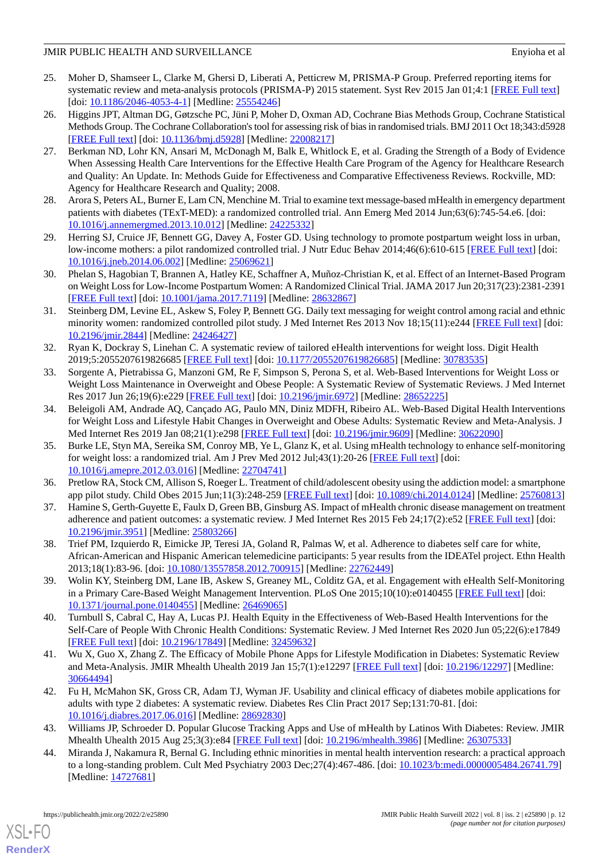# JMIR PUBLIC HEALTH AND SURVEILLANCE **Environment and SURVEILLANCE Environment and SURVEILLANCE**

- <span id="page-11-0"></span>25. Moher D, Shamseer L, Clarke M, Ghersi D, Liberati A, Petticrew M, PRISMA-P Group. Preferred reporting items for systematic review and meta-analysis protocols (PRISMA-P) 2015 statement. Syst Rev 2015 Jan 01;4:1 [[FREE Full text\]](https://systematicreviewsjournal.biomedcentral.com/articles/10.1186/2046-4053-4-1) [doi: [10.1186/2046-4053-4-1](http://dx.doi.org/10.1186/2046-4053-4-1)] [Medline: [25554246\]](http://www.ncbi.nlm.nih.gov/entrez/query.fcgi?cmd=Retrieve&db=PubMed&list_uids=25554246&dopt=Abstract)
- <span id="page-11-1"></span>26. Higgins JPT, Altman DG, Gøtzsche PC, Jüni P, Moher D, Oxman AD, Cochrane Bias Methods Group, Cochrane Statistical Methods Group. The Cochrane Collaboration's tool for assessing risk of bias in randomised trials. BMJ 2011 Oct 18;343:d5928 [[FREE Full text](http://europepmc.org/abstract/MED/22008217)] [doi: [10.1136/bmj.d5928\]](http://dx.doi.org/10.1136/bmj.d5928) [Medline: [22008217\]](http://www.ncbi.nlm.nih.gov/entrez/query.fcgi?cmd=Retrieve&db=PubMed&list_uids=22008217&dopt=Abstract)
- <span id="page-11-2"></span>27. Berkman ND, Lohr KN, Ansari M, McDonagh M, Balk E, Whitlock E, et al. Grading the Strength of a Body of Evidence When Assessing Health Care Interventions for the Effective Health Care Program of the Agency for Healthcare Research and Quality: An Update. In: Methods Guide for Effectiveness and Comparative Effectiveness Reviews. Rockville, MD: Agency for Healthcare Research and Quality; 2008.
- <span id="page-11-5"></span><span id="page-11-3"></span>28. Arora S, Peters AL, Burner E, Lam CN, Menchine M. Trial to examine text message-based mHealth in emergency department patients with diabetes (TExT-MED): a randomized controlled trial. Ann Emerg Med 2014 Jun;63(6):745-54.e6. [doi: [10.1016/j.annemergmed.2013.10.012](http://dx.doi.org/10.1016/j.annemergmed.2013.10.012)] [Medline: [24225332\]](http://www.ncbi.nlm.nih.gov/entrez/query.fcgi?cmd=Retrieve&db=PubMed&list_uids=24225332&dopt=Abstract)
- <span id="page-11-6"></span>29. Herring SJ, Cruice JF, Bennett GG, Davey A, Foster GD. Using technology to promote postpartum weight loss in urban, low-income mothers: a pilot randomized controlled trial. J Nutr Educ Behav 2014;46(6):610-615 [\[FREE Full text\]](http://europepmc.org/abstract/MED/25069621) [doi: [10.1016/j.jneb.2014.06.002](http://dx.doi.org/10.1016/j.jneb.2014.06.002)] [Medline: [25069621](http://www.ncbi.nlm.nih.gov/entrez/query.fcgi?cmd=Retrieve&db=PubMed&list_uids=25069621&dopt=Abstract)]
- <span id="page-11-4"></span>30. Phelan S, Hagobian T, Brannen A, Hatley KE, Schaffner A, Muñoz-Christian K, et al. Effect of an Internet-Based Program on Weight Loss for Low-Income Postpartum Women: A Randomized Clinical Trial. JAMA 2017 Jun 20;317(23):2381-2391 [[FREE Full text](http://europepmc.org/abstract/MED/28632867)] [doi: [10.1001/jama.2017.7119](http://dx.doi.org/10.1001/jama.2017.7119)] [Medline: [28632867\]](http://www.ncbi.nlm.nih.gov/entrez/query.fcgi?cmd=Retrieve&db=PubMed&list_uids=28632867&dopt=Abstract)
- <span id="page-11-7"></span>31. Steinberg DM, Levine EL, Askew S, Foley P, Bennett GG. Daily text messaging for weight control among racial and ethnic minority women: randomized controlled pilot study. J Med Internet Res 2013 Nov 18;15(11):e244 [[FREE Full text](https://www.jmir.org/2013/11/e244/)] [doi: [10.2196/jmir.2844](http://dx.doi.org/10.2196/jmir.2844)] [Medline: [24246427](http://www.ncbi.nlm.nih.gov/entrez/query.fcgi?cmd=Retrieve&db=PubMed&list_uids=24246427&dopt=Abstract)]
- <span id="page-11-9"></span>32. Ryan K, Dockray S, Linehan C. A systematic review of tailored eHealth interventions for weight loss. Digit Health 2019;5:2055207619826685 [[FREE Full text](https://journals.sagepub.com/doi/10.1177/2055207619826685?url_ver=Z39.88-2003&rfr_id=ori:rid:crossref.org&rfr_dat=cr_pub%3dpubmed)] [doi: [10.1177/2055207619826685\]](http://dx.doi.org/10.1177/2055207619826685) [Medline: [30783535\]](http://www.ncbi.nlm.nih.gov/entrez/query.fcgi?cmd=Retrieve&db=PubMed&list_uids=30783535&dopt=Abstract)
- <span id="page-11-8"></span>33. Sorgente A, Pietrabissa G, Manzoni GM, Re F, Simpson S, Perona S, et al. Web-Based Interventions for Weight Loss or Weight Loss Maintenance in Overweight and Obese People: A Systematic Review of Systematic Reviews. J Med Internet Res 2017 Jun 26;19(6):e229 [\[FREE Full text\]](https://www.jmir.org/2017/6/e229/) [doi: [10.2196/jmir.6972\]](http://dx.doi.org/10.2196/jmir.6972) [Medline: [28652225\]](http://www.ncbi.nlm.nih.gov/entrez/query.fcgi?cmd=Retrieve&db=PubMed&list_uids=28652225&dopt=Abstract)
- <span id="page-11-10"></span>34. Beleigoli AM, Andrade AQ, Cançado AG, Paulo MN, Diniz MDFH, Ribeiro AL. Web-Based Digital Health Interventions for Weight Loss and Lifestyle Habit Changes in Overweight and Obese Adults: Systematic Review and Meta-Analysis. J Med Internet Res 2019 Jan 08;21(1):e298 [\[FREE Full text\]](https://www.jmir.org/2019/1/e298/) [doi: [10.2196/jmir.9609\]](http://dx.doi.org/10.2196/jmir.9609) [Medline: [30622090\]](http://www.ncbi.nlm.nih.gov/entrez/query.fcgi?cmd=Retrieve&db=PubMed&list_uids=30622090&dopt=Abstract)
- <span id="page-11-12"></span><span id="page-11-11"></span>35. Burke LE, Styn MA, Sereika SM, Conroy MB, Ye L, Glanz K, et al. Using mHealth technology to enhance self-monitoring for weight loss: a randomized trial. Am J Prev Med 2012 Jul;43(1):20-26 [[FREE Full text](http://europepmc.org/abstract/MED/22704741)] [doi: [10.1016/j.amepre.2012.03.016](http://dx.doi.org/10.1016/j.amepre.2012.03.016)] [Medline: [22704741\]](http://www.ncbi.nlm.nih.gov/entrez/query.fcgi?cmd=Retrieve&db=PubMed&list_uids=22704741&dopt=Abstract)
- <span id="page-11-13"></span>36. Pretlow RA, Stock CM, Allison S, Roeger L. Treatment of child/adolescent obesity using the addiction model: a smartphone app pilot study. Child Obes 2015 Jun;11(3):248-259 [[FREE Full text](http://europepmc.org/abstract/MED/25760813)] [doi: [10.1089/chi.2014.0124](http://dx.doi.org/10.1089/chi.2014.0124)] [Medline: [25760813\]](http://www.ncbi.nlm.nih.gov/entrez/query.fcgi?cmd=Retrieve&db=PubMed&list_uids=25760813&dopt=Abstract)
- <span id="page-11-14"></span>37. Hamine S, Gerth-Guyette E, Faulx D, Green BB, Ginsburg AS. Impact of mHealth chronic disease management on treatment adherence and patient outcomes: a systematic review. J Med Internet Res 2015 Feb 24;17(2):e52 [\[FREE Full text\]](https://www.jmir.org/2015/2/e52/) [doi: [10.2196/jmir.3951](http://dx.doi.org/10.2196/jmir.3951)] [Medline: [25803266](http://www.ncbi.nlm.nih.gov/entrez/query.fcgi?cmd=Retrieve&db=PubMed&list_uids=25803266&dopt=Abstract)]
- <span id="page-11-15"></span>38. Trief PM, Izquierdo R, Eimicke JP, Teresi JA, Goland R, Palmas W, et al. Adherence to diabetes self care for white, African-American and Hispanic American telemedicine participants: 5 year results from the IDEATel project. Ethn Health 2013;18(1):83-96. [doi: [10.1080/13557858.2012.700915\]](http://dx.doi.org/10.1080/13557858.2012.700915) [Medline: [22762449\]](http://www.ncbi.nlm.nih.gov/entrez/query.fcgi?cmd=Retrieve&db=PubMed&list_uids=22762449&dopt=Abstract)
- <span id="page-11-16"></span>39. Wolin KY, Steinberg DM, Lane IB, Askew S, Greaney ML, Colditz GA, et al. Engagement with eHealth Self-Monitoring in a Primary Care-Based Weight Management Intervention. PLoS One 2015;10(10):e0140455 [[FREE Full text\]](https://dx.plos.org/10.1371/journal.pone.0140455) [doi: [10.1371/journal.pone.0140455\]](http://dx.doi.org/10.1371/journal.pone.0140455) [Medline: [26469065](http://www.ncbi.nlm.nih.gov/entrez/query.fcgi?cmd=Retrieve&db=PubMed&list_uids=26469065&dopt=Abstract)]
- <span id="page-11-17"></span>40. Turnbull S, Cabral C, Hay A, Lucas PJ. Health Equity in the Effectiveness of Web-Based Health Interventions for the Self-Care of People With Chronic Health Conditions: Systematic Review. J Med Internet Res 2020 Jun 05;22(6):e17849 [[FREE Full text](https://www.jmir.org/2020/6/e17849/)] [doi: [10.2196/17849\]](http://dx.doi.org/10.2196/17849) [Medline: [32459632\]](http://www.ncbi.nlm.nih.gov/entrez/query.fcgi?cmd=Retrieve&db=PubMed&list_uids=32459632&dopt=Abstract)
- <span id="page-11-18"></span>41. Wu X, Guo X, Zhang Z. The Efficacy of Mobile Phone Apps for Lifestyle Modification in Diabetes: Systematic Review and Meta-Analysis. JMIR Mhealth Uhealth 2019 Jan 15;7(1):e12297 [\[FREE Full text\]](https://mhealth.jmir.org/2019/1/e12297/) [doi: [10.2196/12297](http://dx.doi.org/10.2196/12297)] [Medline: [30664494](http://www.ncbi.nlm.nih.gov/entrez/query.fcgi?cmd=Retrieve&db=PubMed&list_uids=30664494&dopt=Abstract)]
- <span id="page-11-19"></span>42. Fu H, McMahon SK, Gross CR, Adam TJ, Wyman JF. Usability and clinical efficacy of diabetes mobile applications for adults with type 2 diabetes: A systematic review. Diabetes Res Clin Pract 2017 Sep;131:70-81. [doi: [10.1016/j.diabres.2017.06.016](http://dx.doi.org/10.1016/j.diabres.2017.06.016)] [Medline: [28692830](http://www.ncbi.nlm.nih.gov/entrez/query.fcgi?cmd=Retrieve&db=PubMed&list_uids=28692830&dopt=Abstract)]
- 43. Williams JP, Schroeder D. Popular Glucose Tracking Apps and Use of mHealth by Latinos With Diabetes: Review. JMIR Mhealth Uhealth 2015 Aug 25;3(3):e84 [\[FREE Full text\]](https://mhealth.jmir.org/2015/3/e84/) [doi: [10.2196/mhealth.3986\]](http://dx.doi.org/10.2196/mhealth.3986) [Medline: [26307533\]](http://www.ncbi.nlm.nih.gov/entrez/query.fcgi?cmd=Retrieve&db=PubMed&list_uids=26307533&dopt=Abstract)
- 44. Miranda J, Nakamura R, Bernal G. Including ethnic minorities in mental health intervention research: a practical approach to a long-standing problem. Cult Med Psychiatry 2003 Dec;27(4):467-486. [doi: [10.1023/b:medi.0000005484.26741.79\]](http://dx.doi.org/10.1023/b:medi.0000005484.26741.79) [Medline: [14727681](http://www.ncbi.nlm.nih.gov/entrez/query.fcgi?cmd=Retrieve&db=PubMed&list_uids=14727681&dopt=Abstract)]